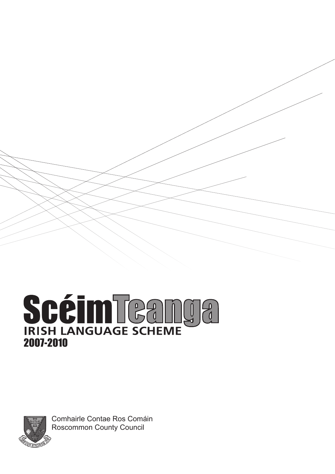# SCÉIM TCANGE 2007-2010



Comhairle Contae Ros Comáin Roscommon County Council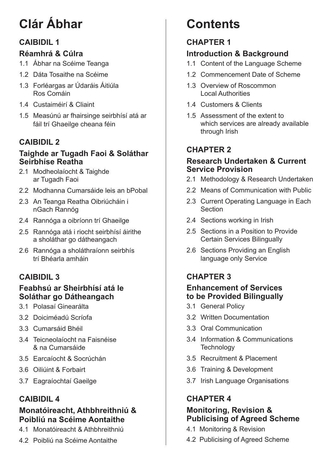# **Clár Ábhar**

# **CAIBIDIL 1**

# **Réamhrá & Cúlra**

- 1.1 Ábhar na Scéime Teanga
- 1.2 Dáta Tosaithe na Scéime
- 1.3 Forléargas ar Údaráis Áitiúla Ros Comáin
- 1.4 Custaiméirí & Cliaint
- 1.5 Measúnú ar fhairsinge seirbhísí atá ar fáil trí Ghaeilge cheana féin

# **CAIBIDIL 2**

# **Taighde ar Tugadh Faoi & Soláthar Seirbhíse Reatha**

- 2.1 Modheolaíocht & Taighde ar Tugadh Faoi
- 2.2 Modhanna Cumarsáide leis an bPobal
- 2.3 An Teanga Reatha Oibriúcháin i nGach Rannóg
- 2.4 Rannóga a oibríonn trí Ghaeilge
- 2.5 Rannóga atá i riocht seirbhísí áirithe a sholáthar go dátheangach
- 2.6 Rannóga a sholáthraíonn seirbhís trí Bhéarla amháin

# **CAIBIDIL 3**

# **Feabhsú ar Sheirbhísí atá le Soláthar go Dátheangach**

- 3.1 Polasaí Ginearálta
- 3.2 Doiciméadú Scríofa
- 3.3 Cumarsáid Bhéil
- 3.4 Teicneolaíocht na Faisnéise & na Cumarsáide
- 3.5 Earcaíocht & Socrúchán
- 3.6 Oiliúint & Forbairt
- 3.7 Eagraíochtaí Gaeilge

# **CAIBIDIL 4**

# **Monatóireacht, Athbhreithniú & Poibliú na Scéime Aontaithe**

- 4.1 Monatóireacht & Athbhreithniú
- 4.2 Poibliú na Scéime Aontaithe

# **Contents**

# **CHAPTER 1**

# **Introduction & Background**

- 1.1 Content of the Language Scheme
- 1.2 Commencement Date of Scheme
- 1.3 Overview of Roscommon Local Authorities
- 1.4 Customers & Clients
- 1.5 Assessment of the extent to which services are already available through Irish

# **CHAPTER 2**

# **Research Undertaken & Current Service Provision**

- 2.1 Methodology & Research Undertaken
- 2.2 Means of Communication with Public
- 2.3 Current Operating Language in Each Section
- 2.4 Sections working in Irish
- 2.5 Sections in a Position to Provide Certain Services Bilingually
- 2.6 Sections Providing an English language only Service

# **CHAPTER 3**

# **Enhancement of Services to be Provided Bilingually**

- 3.1 General Policy
- 3.2 Written Documentation
- 3.3 Oral Communication
- 3.4 Information & Communications **Technology**
- 3.5 Recruitment & Placement
- 3.6 Training & Development
- 3.7 Irish Language Organisations

# **CHAPTER 4**

# **Monitoring, Revision & Publicising of Agreed Scheme**

- 4.1 Monitoring & Revision
- 4.2 Publicising of Agreed Scheme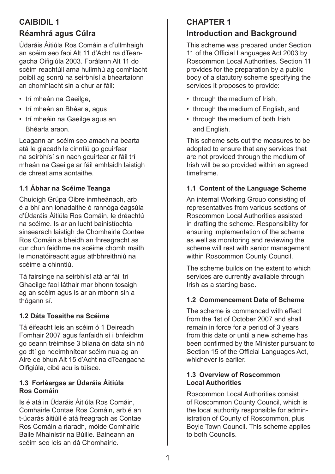# **Caibidil 1**

# **Réamhrá agus Cúlra**

Údaráis Áitiúla Ros Comáin a d'ullmhaigh an scéim seo faoi Alt 11 d'Acht na dTeangacha Oifigiúla 2003. Forálann Alt 11 do scéim reachtúil arna hullmhú ag comhlacht poiblí ag sonrú na seirbhísí a bheartaíonn an chomhlacht sin a chur ar fáil:

- trí mheán na Gaeilge,
- trí mheán an Bhéarla, agus
- trí mheáin na Gaeilge agus an Bhéarla araon.

Leagann an scéim seo amach na bearta atá le glacadh le cinntiú go gcuirfear na seirbhísí sin nach gcuirtear ar fáil trí mheán na Gaeilge ar fáil amhlaidh laistigh de chreat ama aontaithe.

# **1.1 Ábhar na Scéime Teanga**

Chuidigh Grúpa Oibre inmheánach, arb é a bhí ann ionadaithe ó rannóga éagsúla d'Údaráis Áitiúla Ros Comáin, le dréachtú na scéime. Is ar an lucht bainistíochta sinsearach laistigh de Chomhairle Contae Ros Comáin a bheidh an fhreagracht as cur chun feidhme na scéime chomh maith le monatóireacht agus athbhreithniú na scéime a chinntiú.

Tá fairsinge na seirbhísí atá ar fáil trí Ghaeilge faoi láthair mar bhonn tosaigh ag an scéim agus is ar an mbonn sin a thógann sí.

# **1.2 Dáta Tosaithe na Scéime**

Tá éifeacht leis an scéim ó 1 Deireadh Fomhair 2007 agus fanfaidh sí i bhfeidhm go ceann tréimhse 3 bliana ón dáta sin nó go dtí go ndeimhnítear scéim nua ag an Aire de bhun Alt 15 d'Acht na dTeangacha Oifigiúla, cibé acu is túisce.

#### **1.3 Forléargas ar Údaráis Áitiúla Ros Comáin**

Is é atá in Údaráis Áitiúla Ros Comáin, Comhairle Contae Ros Comáin, arb é an t-údarás áitiúil é atá freagrach as Contae Ros Comáin a riaradh, móide Comhairle Baile Mhainistir na Búille. Baineann an scéim seo leis an dá Chomhairle.

# **CHAPTER 1**

# **Introduction and Background**

This scheme was prepared under Section 11 of the Official Languages Act 2003 by Roscommon Local Authorities. Section 11 provides for the preparation by a public body of a statutory scheme specifying the services it proposes to provide:

- through the medium of Irish,
- through the medium of English, and
- through the medium of both Irish and English.

This scheme sets out the measures to be adopted to ensure that any services that are not provided through the medium of Irish will be so provided within an agreed timeframe.

# **1.1 Content of the Language Scheme**

An internal Working Group consisting of representatives from various sections of Roscommon Local Authorities assisted in drafting the scheme. Responsibility for ensuring implementation of the scheme as well as monitoring and reviewing the scheme will rest with senior management within Roscommon County Council.

The scheme builds on the extent to which services are currently available through Irish as a starting base.

# **1.2 Commencement Date of Scheme**

The scheme is commenced with effect from the 1st of October 2007 and shall remain in force for a period of 3 years from this date or until a new scheme has been confirmed by the Minister pursuant to Section 15 of the Official Languages Act, whichever is earlier.

#### **1.3 Overview of Roscommon Local Authorities**

Roscommon Local Authorities consist of Roscommon County Council, which is the local authority responsible for administration of County of Roscommon, plus Boyle Town Council. This scheme applies to both Councils.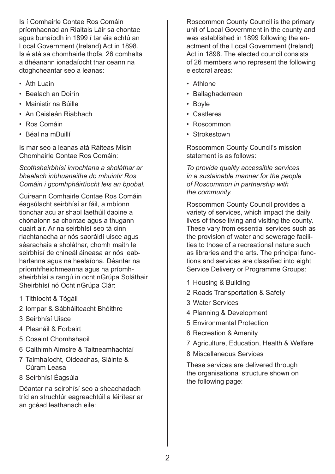Is í Comhairle Contae Ros Comáin príomhaonad an Rialtais Láir sa chontae agus bunaíodh in 1899 í tar éis achtú an Local Government (Ireland) Act in 1898. Is é atá sa chomhairle thofa, 26 comhalta a dhéanann ionadaíocht thar ceann na dtoghcheantar seo a leanas:

- Áth Luain
- Bealach an Doirín
- Mainistir na Búille
- An Caisleán Riabhach
- Ros Comáin
- Béal na mBuillí

Is mar seo a leanas atá Ráiteas Misin Chomhairle Contae Ros Comáin:

*Scothsheirbhísí inrochtana a sholáthar ar bhealach inbhuanaithe do mhuintir Ros Comáin i gcomhpháirtíocht leis an bpobal.*

Cuireann Comhairle Contae Ros Comáin éagsúlacht seirbhísí ar fáil, a mbíonn tionchar acu ar shaol laethúil daoine a chónaíonn sa chontae agus a thugann cuairt air. Ar na seirbhísí seo tá cinn riachtanacha ar nós saoráidí uisce agus séarachais a sholáthar, chomh maith le seirbhísí de chineál áineasa ar nós leabharlanna agus na healaíona. Déantar na príomhfheidhmeanna agus na príomhsheirbhísí a rangú in ocht nGrúpa Soláthair Sheirbhísí nó Ocht nGrúpa Clár:

- 1 Tithíocht & Tógáil
- 2 Iompar & Sábháilteacht Bhóithre
- 3 Seirbhísí Uisce
- 4 Pleanáil & Forbairt
- 5 Cosaint Chomhshaoil
- 6 Caithimh Aimsire & Taitneamhachtaí
- 7 Talmhaíocht, Oideachas, Sláinte & Cúram Leasa
- 8 Seirbhísí Éagsúla

Déantar na seirbhísí seo a sheachadadh tríd an struchtúr eagreachtúil a léirítear ar an gcéad leathanach eile:

Roscommon County Council is the primary unit of Local Government in the county and was established in 1899 following the enactment of the Local Government (Ireland) Act in 1898. The elected council consists of 26 members who represent the following electoral areas:

- Athlone
- Ballaghaderreen
- Boyle
- Castlerea
- Roscommon
- Strokestown

Roscommon County Council's mission statement is as follows:

*To provide quality accessible services in a sustainable manner for the people of Roscommon in partnership with the community.*

Roscommon County Council provides a variety of services, which impact the daily lives of those living and visiting the county. These vary from essential services such as the provision of water and sewerage facilities to those of a recreational nature such as libraries and the arts. The principal functions and services are classified into eight Service Delivery or Programme Groups:

- 1 Housing & Building
- 2 Roads Transportation & Safety
- 3 Water Services
- 4 Planning & Development
- 5 Environmental Protection
- 6 Recreation & Amenity
- 7 Agriculture, Education, Health & Welfare
- 8 Miscellaneous Services

These services are delivered through the organisational structure shown on the following page: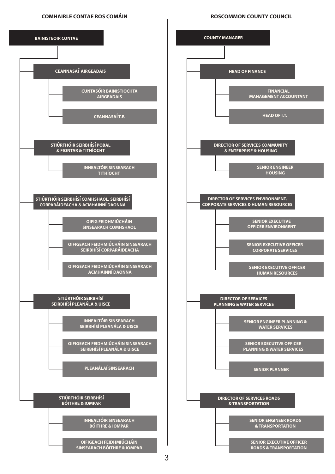#### **COMHAIRLE CONTAE ROS COMAIN**

#### **ROSCOMMON COUNTY COUNCIL**



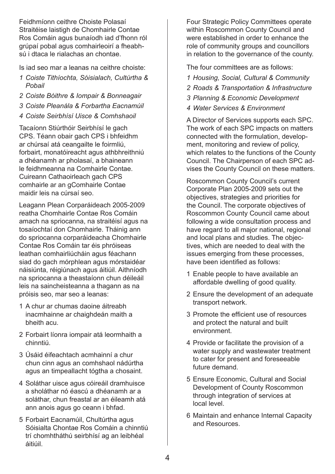Feidhmíonn ceithre Choiste Polasaí Straitéise laistigh de Chomhairle Contae Ros Comáin agus bunaíodh iad d'fhonn ról grúpaí pobal agus comhairleoirí a fheabhsú i dtaca le rialachas an chontae.

Is iad seo mar a leanas na ceithre choiste:

- *1 Coiste Tithíochta, Sóisialach, Cultúrtha & Pobail*
- *2 Coiste Bóithre & Iompair & Bonneagair*
- *3 Coiste Pleanála & Forbartha Eacnamúil*
- *4 Coiste Seirbhísí Uisce & Comhshaoil*

Tacaíonn Stiúrthóir Seirbhísí le gach CPS. Téann obair gach CPS i bhfeidhm ar chúrsaí atá ceangailte le foirmliú, forbairt, monatóireacht agus athbhreithniú a dhéanamh ar pholasaí, a bhaineann le feidhmeanna na Comhairle Contae. Cuireann Cathaoirleach gach CPS comhairle ar an gComhairle Contae maidir leis na cúrsaí seo.

Leagann Plean Corparáideach 2005-2009 reatha Chomhairle Contae Ros Comáin amach na spriocanna, na straitéisí agus na tosaíochtaí don Chomhairle. Tháinig ann do spriocanna corparáideacha Chomhairle Contae Ros Comáin tar éis phróiseas leathan comhairliúcháin agus féachann siad do gach mórphlean agus mórstaidéar náisiúnta, réigiúnach agus áitiúil. Aithníodh na spriocanna a theastaíonn chun déileáil leis na saincheisteanna a thagann as na próisis seo, mar seo a leanas:

- 1 A chur ar chumas daoine áitreabh inacmhainne ar chaighdeán maith a bheith acu.
- 2 Forbairt líonra iompair atá leormhaith a chinntiú.
- 3 Úsáid éifeachtach acmhainní a chur chun cinn agus an comhshaol nádúrtha agus an timpeallacht tógtha a chosaint.
- 4 Soláthar uisce agus cóireáil dramhuisce a sholáthar nó éascú a dhéanamh ar a soláthar, chun freastal ar an éileamh atá ann anois agus go ceann i bhfad.
- 5 Forbairt Eacnamúil, Chultúrtha agus Sóisialta Chontae Ros Comáin a chinntiú trí chomhtháthú seirbhísí ag an leibhéal áitiúil.

Four Strategic Policy Committees operate within Roscommon County Council and were established in order to enhance the role of community groups and councillors in relation to the governance of the county.

The four committees are as follows:

- *1 Housing, Social, Cultural & Community*
- *2 Roads & Transportation & Infrastructure*
- *3 Planning & Economic Development*
- *4 Water Services & Environment*

A Director of Services supports each SPC. The work of each SPC impacts on matters connected with the formulation, development, monitoring and review of policy, which relates to the functions of the County Council. The Chairperson of each SPC advises the County Council on these matters.

Roscommon County Council's current Corporate Plan 2005-2009 sets out the objectives, strategies and priorities for the Council. The corporate objectives of Roscommon County Council came about following a wide consultation process and have regard to all major national, regional and local plans and studies. The objectives, which are needed to deal with the issues emerging from these processes, have been identified as follows:

- 1 Enable people to have available an affordable dwelling of good quality.
- 2 Ensure the development of an adequate transport network.
- 3 Promote the efficient use of resources and protect the natural and built environment.
- 4 Provide or facilitate the provision of a water supply and wastewater treatment to cater for present and foreseeable future demand.
- 5 Ensure Economic, Cultural and Social Development of County Roscommon through integration of services at local level.
- 6 Maintain and enhance Internal Capacity and Resources.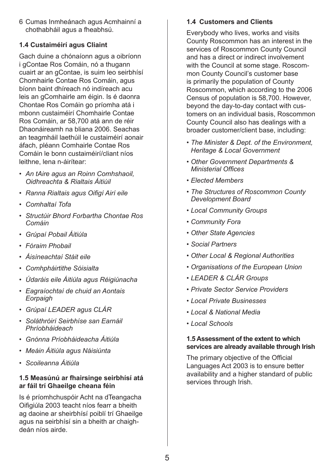6 Cumas Inmheánach agus Acmhainní a chothabháil agus a fheabhsú.

#### **1.4 Custaiméirí agus Cliaint**

Gach duine a chónaíonn agus a oibríonn i gContae Ros Comáin, nó a thugann cuairt ar an gContae, is suim leo seirbhísí Chomhairle Contae Ros Comáin, agus bíonn baint dhíreach nó indíreach acu leis an gComhairle am éigin. Is é daonra Chontae Ros Comáin go príomha atá i mbonn custaiméirí Chomhairle Contae Ros Comáin, ar 58,700 atá ann de réir Dhaonáireamh na bliana 2006. Seachas an teagmháil laethúil le custaiméirí aonair áfach, pléann Comhairle Contae Ros Comáin le bonn custaiméirí/cliant níos leithne, lena n-áirítear:

- *• An tAire agus an Roinn Comhshaoil, Oidhreachta & Rialtais Áitiúil*
- *• Ranna Rialtais agus Oifigí Airí eile*
- *• Comhaltaí Tofa*
- *• Structúir Bhord Forbartha Chontae Ros Comáin*
- *• Grúpaí Pobail Áitiúla*
- *• Fóraim Phobail*
- *• Áisíneachtaí Stáit eile*
- *• Comhpháirtithe Sóisialta*
- *• Údaráis eile Áitiúla agus Réigiúnacha*
- *• Eagraíochtaí de chuid an Aontais Eorpaigh*
- *• Grúpaí LEADER agus CLÁR*
- *• Soláthróirí Seirbhíse san Earnáil Phríobháideach*
- *• Gnónna Príobháideacha Áitiúla*
- *• Meáin Áitiúla agus Náisiúnta*
- *• Scoileanna Áitiúla*

#### **1.5 Measúnú ar fhairsinge seirbhísí atá ar fáil trí Ghaeilge cheana féin**

Is é príomhchuspóir Acht na dTeangacha Oifigiúla 2003 teacht níos fearr a bheith ag daoine ar sheirbhísí poiblí trí Ghaeilge agus na seirbhísí sin a bheith ar chaighdeán níos airde.

#### **1.4 Customers and Clients**

Everybody who lives, works and visits County Roscommon has an interest in the services of Roscommon County Council and has a direct or indirect involvement with the Council at some stage. Roscommon County Council's customer base is primarily the population of County Roscommon, which according to the 2006 Census of population is 58,700. However, beyond the day-to-day contact with customers on an individual basis, Roscommon County Council also has dealings with a broader customer/client base, including:

- *The Minister & Dept. of the Environment, Heritage & Local Government*
- *Other Government Departments & Ministerial Offices*
- *Elected Members*
- *The Structures of Roscommon County Development Board*
- *Local Community Groups*
- *Community Fora*
- *Other State Agencies*
- *Social Partners*
- *Other Local & Regional Authorities*
- *Organisations of the European Union*
- *LEADER & CLÁR Groups*
- *Private Sector Service Providers*
- *Local Private Businesses*
- *Local & National Media*
- *Local Schools*

#### **1.5 Assessment of the extent to which services are already available through Irish**

The primary objective of the Official Languages Act 2003 is to ensure better availability and a higher standard of public services through Irish.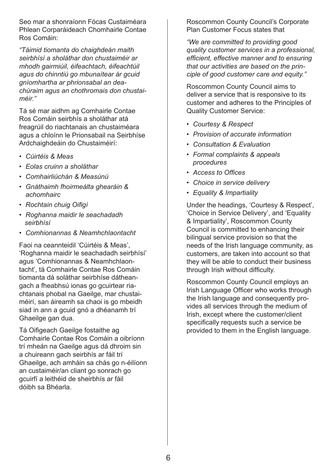Seo mar a shonraíonn Fócas Custaiméara Phlean Corparáideach Chomhairle Contae Ros Comáin:

*"Táimid tiomanta do chaighdeán maith seirbhísí a sholáthar don chustaiméir ar mhodh gairmiúil, éifeachtach, éifeachtúil agus do chinntiú go mbunaítear ár gcuid gníomhartha ar phrionsabal an deachúraim agus an chothromais don chustaiméir."*

Tá sé mar aidhm ag Comhairle Contae Ros Comáin seirbhís a sholáthar atá freagrúil do riachtanais an chustaiméara agus a chloínn le Prionsabail na Seirbhíse Ardchaighdeáin do Chustaiméirí:

- *• Cúirtéis & Meas*
- *• Eolas cruinn a sholáthar*
- *• Comhairliúchán & Measúnú*
- *• Gnáthaimh fhoirmeálta ghearáin & achomhairc*
- *• Rochtain chuig Oifigí*
- *• Roghanna maidir le seachadadh seirbhísí*
- *• Comhionannas & Neamhchlaontacht*

Faoi na ceannteidil 'Cúirtéis & Meas', 'Roghanna maidir le seachadadh seirbhísí' agus 'Comhionannas & Neamhchlaontacht', tá Comhairle Contae Ros Comáin tiomanta dá soláthar seirbhíse dátheangach a fheabhsú ionas go gcuirtear riachtanais phobal na Gaeilge, mar chustaiméirí, san áireamh sa chaoi is go mbeidh siad in ann a gcuid gnó a dhéanamh trí Ghaeilge gan dua.

Tá Oifigeach Gaeilge fostaithe ag Comhairle Contae Ros Comáin a oibríonn trí mheán na Gaeilge agus dá dhroim sin a chuireann gach seirbhís ar fáil trí Ghaeilge, ach amháin sa chás go n-éilíonn an custaiméir/an cliant go sonrach go gcuirfí a leithéid de sheirbhís ar fáil dóibh sa Bhéarla.

Roscommon County Council's Corporate Plan Customer Focus states that

*"We are committed to providing good quality customer services in a professional, efficient, effective manner and to ensuring that our activities are based on the principle of good customer care and equity."*

Roscommon County Council aims to deliver a service that is responsive to its customer and adheres to the Principles of Quality Customer Service:

- *• Courtesy & Respect*
- *• Provision of accurate information*
- *• Consultation & Evaluation*
- *• Formal complaints & appeals procedures*
- *• Access to Offices*
- *• Choice in service delivery*
- *• Equality & Impartiality*

Under the headings, 'Courtesy & Respect', 'Choice in Service Delivery', and 'Equality & Impartiality', Roscommon County Council is committed to enhancing their bilingual service provision so that the needs of the Irish language community, as customers, are taken into account so that they will be able to conduct their business through Irish without difficulty.

Roscommon County Council employs an Irish Language Officer who works through the Irish language and consequently provides all services through the medium of Irish, except where the customer/client specifically requests such a service be provided to them in the English language.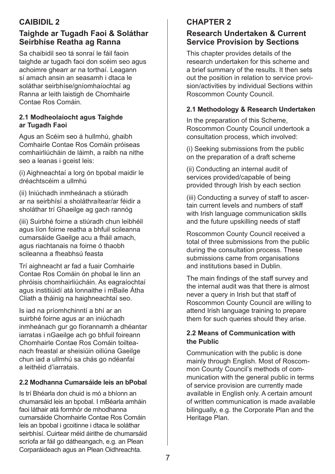# **CAIBIDIL 2**

# **Taighde ar Tugadh Faoi & Soláthar Seirbhíse Reatha ag Ranna**

Sa chaibidil seo tá sonraí le fáil faoin taighde ar tugadh faoi don scéim seo agus achoimre ghearr ar na torthaí. Leagann sí amach ansin an seasamh i dtaca le soláthar seirbhíse/gníomhaíochtaí ag Ranna ar leith laistigh de Chomhairle Contae Ros Comáin.

#### **2.1 Modheolaíocht agus Taighde ar Tugadh Faoi**

Agus an Scéim seo á hullmhú, ghaibh Comhairle Contae Ros Comáin próiseas comhairliúcháin de láimh, a raibh na nithe seo a leanas i gceist leis:

(i) Aighneachtaí a lorg ón bpobal maidir le dréachtscéim a ullmhú

(ii) Iniúchadh inmheánach a stiúradh ar na seirbhísí a sholáthraítear/ar féidir a sholáthar trí Ghaeilge ag gach rannóg

(iii) Suirbhé foirne a stiúradh chun leibhéil agus líon foirne reatha a bhfuil scileanna cumarsáide Gaeilge acu a fháil amach, agus riachtanais na foirne ó thaobh scileanna a fheabhsú feasta

Trí aighneacht ar fad a fuair Comhairle Contae Ros Comáin ón phobal le linn an phróisis chomhairliúcháin. As eagraíochtaí agus institiúidí atá lonnaithe i mBaile Átha Cliath a tháinig na haighneachtaí seo.

Is iad na príomhchinntí a bhí ar an suirbhé foirne agus ar an iniúchadh inmheánach gur go fíorannamh a dhéantar iarratas i nGaeilge ach go bhfuil foireann Chomhairle Contae Ros Comáin toilteanach freastal ar sheisiúin oiliúna Gaeilge chun iad a ullmhú sa chás go ndéanfaí a leithéid d'iarratais.

#### **2.2 Modhanna Cumarsáide leis an bPobal**

Is trí Bhéarla don chuid is mó a bhíonn an chumarsáid leis an bpobal. I mBéarla amháin faoi láthair atá formhór de mhodhanna cumarsáide Chomhairle Contae Ros Comáin leis an bpobal i gcoitinne i dtaca le soláthar seirbhísí. Cuirtear méid áirithe de chumarsáid scríofa ar fáil go dátheangach, e.g. an Plean Corparáideach agus an Plean Oidhreachta.

# **Chapter 2**

# **Research Undertaken & Current Service Provision by Sections**

This chapter provides details of the research undertaken for this scheme and a brief summary of the results. It then sets out the position in relation to service provision/activities by individual Sections within Roscommon County Council.

#### **2.1 Methodology & Research Undertaken**

In the preparation of this Scheme, Roscommon County Council undertook a consultation process, which involved:

(i) Seeking submissions from the public on the preparation of a draft scheme

(ii) Conducting an internal audit of services provided/capable of being provided through Irish by each section

(iii) Conducting a survey of staff to ascertain current levels and numbers of staff with Irish language communication skills and the future upskilling needs of staff

Roscommon County Council received a total of three submissions from the public during the consultation process. These submissions came from organisations and institutions based in Dublin.

The main findings of the staff survey and the internal audit was that there is almost never a query in Irish but that staff of Roscommon County Council are willing to attend Irish language training to prepare them for such queries should they arise.

#### **2.2 Means of Communication with the Public**

Communication with the public is done mainly through English. Most of Roscommon County Council's methods of communication with the general public in terms of service provision are currently made available in English only. A certain amount of written communication is made available bilingually, e.g. the Corporate Plan and the Heritage Plan.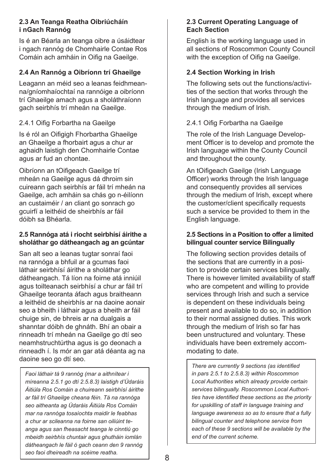#### **2.3 An Teanga Reatha Oibriúcháín i nGach Rannóg**

Is é an Béarla an teanga oibre a úsáidtear i ngach rannóg de Chomhairle Contae Ros Comáin ach amháin in Oifig na Gaeilge.

#### **2.4 An Rannóg a Oibríonn trí Ghaeilge**

Leagann an méid seo a leanas feidhmeanna/gníomhaíochtaí na rannóige a oibríonn trí Ghaeilge amach agus a sholáthraíonn gach seirbhís trí mheán na Gaeilge.

#### 2.4.1 Oifig Forbartha na Gaeilge

Is é ról an Oifigigh Fhorbartha Ghaeilge an Ghaeilge a fhorbairt agus a chur ar aghaidh laistigh den Chomhairle Contae agus ar fud an chontae.

Oibríonn an tOifigeach Gaeilge trí mheán na Gaeilge agus dá dhroim sin cuireann gach seirbhís ar fáil trí mheán na Gaeilge, ach amháin sa chás go n-éilíonn an custaiméir / an cliant go sonrach go gcuirfí a leithéid de sheirbhís ar fáil dóibh sa Bhéarla.

#### **2.5 Rannóga atá i riocht seirbhísí áirithe a sholáthar go dátheangach ag an gcúntar**

San alt seo a leanas tugtar sonraí faoi na rannóga a bhfuil ar a gcumas faoi láthair seirbhísí áirithe a sholáthar go dátheangach. Tá líon na foirne atá inniúil agus toilteanach seirbhísí a chur ar fáil trí Ghaeilge teoranta áfach agus braitheann a leithéid de sheirbhís ar na daoine aonair seo a bheith i láthair agus a bheith ar fáil chuige sin, de bhreis ar na dualgais a shanntar dóibh de ghnáth. Bhí an obair a rinneadh trí mheán na Gaeilge go dtí seo neamhstruchtúrtha agus is go deonach a rinneadh í. Is mór an gar atá déanta ag na daoine seo go dtí seo.

*Faoi láthair tá 9 rannóg (mar a aithnítear i míreanna 2.5.1 go dtí 2.5.8.3) laistigh d'Údaráis Áitiúla Ros Comáin a chuireann seirbhísí áirithe ar fáil trí Ghaeilge cheana féin. Tá na rannóga seo aitheanta ag Údaráis Áitiúla Ros Comáin mar na rannóga tosaíochta maidir le feabhas a chur ar scileanna na foirne san oiliúint teanga agus san fheasacht teanga le cinntiú go mbeidh seirbhís chuntair agus ghutháin iomlán dátheangach le fáil ó gach ceann den 9 rannóg seo faoi dheireadh na scéime reatha.*

#### **2.3 Current Operating Language of Each Section**

English is the working language used in all sections of Roscommon County Council with the exception of Oifig na Gaeilge.

#### **2.4 Section Working in Irish**

The following sets out the functions/activities of the section that works through the Irish language and provides all services through the medium of Irish.

#### 2.4.1 Oifig Forbartha na Gaeilge

The role of the Irish Language Development Officer is to develop and promote the Irish language within the County Council and throughout the county.

An tOifigeach Gaeilge (Irish Language Officer) works through the Irish language and consequently provides all services through the medium of Irish, except where the customer/client specifically requests such a service be provided to them in the English language.

#### **2.5 Sections in a Position to offer a limited bilingual counter service Bilingually**

The following section provides details of the sections that are currently in a position to provide certain services bilingually. There is however limited availability of staff who are competent and willing to provide services through Irish and such a service is dependent on these individuals being present and available to do so, in addition to their normal assigned duties. This work through the medium of Irish so far has been unstructured and voluntary. These individuals have been extremely accommodating to date.

*There are currently 9 sections (as identified in pars 2.5.1 to 2.5.8.3) within Roscommon Local Authorities which already provide certain services bilingually. Roscommon Local Authorities have identified these sections as the priority for upskilling of staff in language training and language awareness so as to ensure that a fully bilingual counter and telephone service from each of these 9 sections will be available by the end of the current scheme.*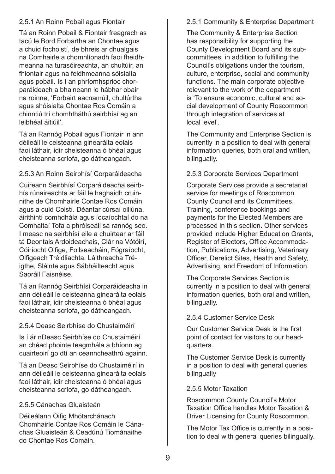#### 2.5.1 An Roinn Pobail agus Fiontair

Tá an Roinn Pobail & Fiontair freagrach as tacú le Bord Forbartha an Chontae agus a chuid fochoistí, de bhreis ar dhualgais na Comhairle a chomhlíonadh faoi fheidhmeanna na turasóireachta, an chultúir, an fhiontair agus na feidhmeanna sóisialta agus pobail. Is í an phríomhsprioc chorparáideach a bhaineann le hábhar obair na roinne, 'Forbairt eacnamúil, chultúrtha agus shóisialta Chontae Ros Comáin a chinntiú trí chomhtháthú seirbhísí ag an leibhéal áitiúil'.

Tá an Rannóg Pobail agus Fiontair in ann déileáil le ceisteanna ginearálta eolais faoi láthair, idir cheisteanna ó bhéal agus cheisteanna scríofa, go dátheangach.

#### 2.5.3 An Roinn Seirbhísí Corparáideacha

Cuireann Seirbhísí Corparáideacha seirbhís rúnaireachta ar fáil le haghaidh cruinnithe de Chomhairle Contae Ros Comáin agus a cuid Coistí. Déantar cúrsaí oiliúna, áirithintí comhdhála agus íocaíochtaí do na Comhaltaí Tofa a phróiseáil sa rannóg seo. I measc na seirbhísí eile a chuirtear ar fáil tá Deontais Ardoideachais, Clár na Vótóirí, Cóiríocht Oifige, Foilseacháin, Fógraíocht, Oifigeach Tréidliachta, Láithreacha Tréigthe, Sláinte agus Sábháilteacht agus Saoráil Faisnéise.

Tá an Rannóg Seirbhísí Corparáideacha in ann déileáil le ceisteanna ginearálta eolais faoi láthair, idir cheisteanna ó bhéal agus cheisteanna scríofa, go dátheangach.

#### 2.5.4 Deasc Seirbhíse do Chustaiméirí

Is í ár nDeasc Seirbhíse do Chustaiméirí an chéad phointe teagmhála a bhíonn ag cuairteoirí go dtí an ceanncheathrú againn.

Tá an Deasc Seirbhíse do Chustaiméirí in ann déileáil le ceisteanna ginearálta eolais faoi láthair, idir cheisteanna ó bhéal agus cheisteanna scríofa, go dátheangach.

#### 2.5.5 Cánachas Gluaisteán

Déileálann Oifig Mhótarchánach Chomhairle Contae Ros Comáin le Cánachas Gluaisteán & Ceadúnú Tiománaithe do Chontae Ros Comáin.

#### 2.5.1 Community & Enterprise Department

The Community & Enterprise Section has responsibility for supporting the County Development Board and its subcommittees, in addition to fulfilling the Council's obligations under the tourism, culture, enterprise, social and community functions. The main corporate objective relevant to the work of the department is 'To ensure economic, cultural and social development of County Roscommon through integration of services at local level'.

The Community and Enterprise Section is currently in a position to deal with general information queries, both oral and written, bilingually.

#### 2.5.3 Corporate Services Department

Corporate Services provide a secretariat service for meetings of Roscommon County Council and its Committees. Training, conference bookings and payments for the Elected Members are processed in this section. Other services provided include Higher Education Grants, Register of Electors, Office Accommodation, Publications, Advertising, Veterinary Officer, Derelict Sites, Health and Safety, Advertising, and Freedom of Information.

The Corporate Services Section is currently in a position to deal with general information queries, both oral and written, bilingually.

2.5.4 Customer Service Desk

Our Customer Service Desk is the first point of contact for visitors to our headquarters.

The Customer Service Desk is currently in a position to deal with general queries bilingually

#### 2.5.5 Motor Taxation

Roscommon County Council's Motor Taxation Office handles Motor Taxation & Driver Licensing for County Roscommon.

The Motor Tax Office is currently in a position to deal with general queries bilingually.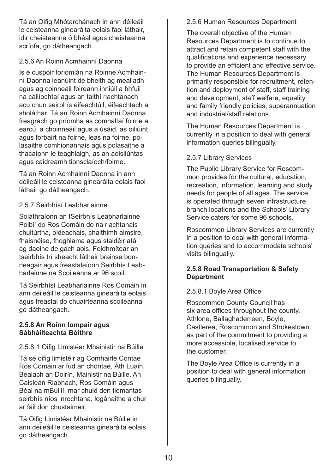Tá an Oifig Mhótarchánach in ann déileáil le ceisteanna ginearálta eolais faoi láthair, idir cheisteanna ó bhéal agus cheisteanna scríofa, go dátheangach.

#### 2.5.6 An Roinn Acmhainní Daonna

Is é cuspóir foriomlán na Roinne Acmhainní Daonna leanúint de bheith ag mealladh agus ag coinneáil foireann inniúil a bhfuil na cáilíochtaí agus an taithí riachtanach acu chun seirbhís éifeachtúil, éifeachtach a sholáthar. Tá an Roinn Acmhainní Daonna freagrach go príomha as comhaltaí foirne a earcú, a choinneáil agus a úsáid, as oiliúint agus forbairt na foirne, leas na foirne, polasaithe comhionannais agus polasaithe a thacaíonn le teaghlaigh, as an aoisliúntas agus caidreamh tionsclaíoch/foirne.

Tá an Roinn Acmhainní Daonna in ann déileáil le ceisteanna ginearálta eolais faoi láthair go dátheangach.

#### 2.5.7 Seirbhísí Leabharlainne

Soláthraíonn an tSeirbhís Leabharlainne Poiblí do Ros Comáin do na riachtanais chultúrtha, oideachais, chaithimh aimsire, fhaisnéise, fhoghlama agus staidéir atá ag daoine de gach aois. Feidhmítear an tseirbhís trí sheacht láthair brainse bonneagair agus freastalaíonn Seirbhís Leabharlainne na Scoileanna ar 96 scoil.

Tá Seirbhísí Leabharlainne Ros Comáin in ann déileáil le ceisteanna ginearálta eolais agus freastal do chuairteanna scoileanna go dátheangach.

#### **2.5.8 An Roinn Iompair agus Sábháilteachta Bóithre**

# 2.5.8.1 Oifig Limistéar Mhainistir na Búille

Tá sé oifig limistéir ag Comhairle Contae Ros Comáin ar fud an chontae, Áth Luain, Bealach an Doirín, Mainistir na Búille, An Caisleán Riabhach, Ros Comáin agus Béal na mBuillí, mar chuid den tiomantas seirbhís níos inrochtana, logánaithe a chur ar fáil don chustaimeir.

Tá Oifig Limistéar Mhainistir na Búille in ann déileáil le ceisteanna ginearálta eolais go dátheangach.

# 2.5.6 Human Resources Department

The overall objective of the Human Resources Department is to continue to attract and retain competent staff with the qualifications and experience necessary to provide an efficient and effective service. The Human Resources Department is primarily responsible for recruitment, retention and deployment of staff, staff training and development, staff welfare, equality and family friendly policies, superannuation and industrial/staff relations.

The Human Resources Department is currently in a position to deal with general information queries bilingually.

# 2.5.7 Library Services

The Public Library Service for Roscommon provides for the cultural, education, recreation, information, learning and study needs for people of all ages. The service is operated through seven infrastructure branch locations and the Schools' Library Service caters for some 96 schools.

Roscommon Library Services are currently in a position to deal with general information queries and to accommodate schools' visits bilingually.

#### **2.5.8 Road Transportation & Safety Department**

# 2.5.8.1 Boyle Area Office

Roscommon County Council has six area offices throughout the county, Athlone, Ballaghaderreen, Boyle, Castlerea, Roscommon and Strokestown, as part of the commitment to providing a more accessible, localised service to the customer.

The Boyle Area Office is currently in a position to deal with general information queries bilingually.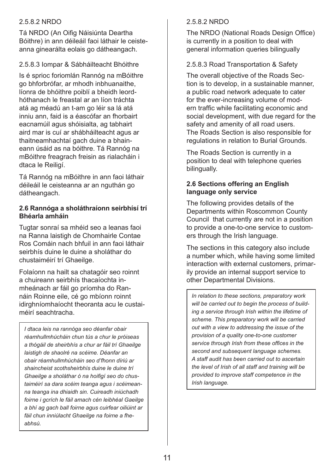#### 2.5.8.2 NRDO

Tá NRDO (An Oifig Náisiúnta Deartha Bóithre) in ann déileáil faoi láthair le ceisteanna ginearálta eolais go dátheangach.

#### 2.5.8.3 Iompar & Sábháilteacht Bhóithre

Is é sprioc foriomlán Rannóg na mBóithre go bhforbrófar, ar mhodh inbhuanaithe, líonra de bhóithre poiblí a bheidh leordhóthanach le freastal ar an líon tráchta atá ag méadú an t-am go léir sa lá atá inniu ann, faid is a éascófar an fhorbairt eacnamúil agus shóisialta, ag tabhairt aird mar is cuí ar shábháilteacht agus ar thaitneamhachtaí gach duine a bhaineann úsáid as na bóithre. Tá Rannóg na mBóithre freagrach freisin as rialacháin i dtaca le Reiligí.

Tá Rannóg na mBóithre in ann faoi láthair déileáil le ceisteanna ar an nguthán go dátheangach.

#### **2.6 Rannóga a sholáthraíonn seirbhísí trí Bhéarla amháin**

Tugtar sonraí sa mhéid seo a leanas faoi na Ranna laistigh de Chomhairle Contae Ros Comáin nach bhfuil in ann faoi láthair seirbhís duine le duine a sholáthar do chustaiméirí trí Ghaeilge.

Folaíonn na hailt sa chatagóir seo roinnt a chuireann seirbhís thacaíochta inmheánach ar fáil go príomha do Rannáin Roinne eile, cé go mbíonn roinnt idirghníomhaíocht theoranta acu le custaiméirí seachtracha.

*I dtaca leis na rannóga seo déanfar obair réamhullmhúcháin chun tús a chur le próiseas a thógáil de sheirbhís a chur ar fáil trí Ghaeilge laistigh de shaolré na scéime. Déanfar an obair réamhullmhúcháin seo d'fhonn díriú ar shaincheist scothsheirbhís duine le duine trí Ghaeilge a sholáthar ó na hoifigí seo do chustaiméirí sa dara scéim teanga agus i scéimeanna teanga ina dhiaidh sin. Cuireadh iniúchadh foirne i gcrích le fáil amach cén leibhéal Gaeilge a bhí ag gach ball foirne agus cuirfear oiliúint ar fáil chun inniúlacht Ghaeilge na foirne a fheabhsú.*

#### 2.5.8.2 NRDO

The NRDO (National Roads Design Office) is currently in a position to deal with general information queries bilingually

#### 2.5.8.3 Road Transportation & Safety

The overall objective of the Roads Section is to develop, in a sustainable manner, a public road network adequate to cater for the ever-increasing volume of modern traffic while facilitating economic and social development, with due regard for the safety and amenity of all road users. The Roads Section is also responsible for regulations in relation to Burial Grounds.

The Roads Section is currently in a position to deal with telephone queries bilingually.

#### **2.6 Sections offering an English language only service**

The following provides details of the Departments within Roscommon County Council that currently are not in a position to provide a one-to-one service to customers through the Irish language.

The sections in this category also include a number which, while having some limited interaction with external customers, primarily provide an internal support service to other Departmental Divisions.

*In relation to these sections, preparatory work will be carried out to begin the process of building a service through Irish within the lifetime of scheme. This preparatory work will be carried out with a view to addressing the issue of the provision of a quality one-to-one customer service through Irish from these offices in the second and subsequent language schemes. A staff audit has been carried out to ascertain the level of Irish of all staff and training will be provided to improve staff competence in the Irish language.*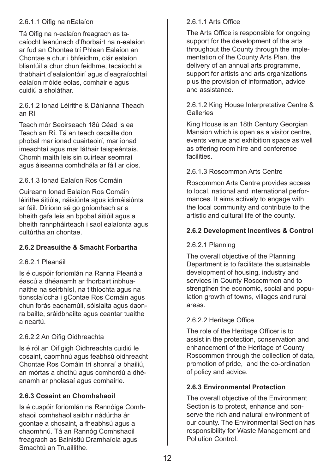#### 2.6.1.1 Oifig na nEalaíon

Tá Oifig na n-ealaíon freagrach as tacaíocht leanúnach d'fhorbairt na n-ealaíon ar fud an Chontae trí Phlean Ealaíon an Chontae a chur i bhfeidhm, clár ealaíon bliantúil a chur chun feidhme, tacaíocht a thabhairt d'ealaíontóirí agus d'eagraíochtaí ealaíon móide eolas, comhairle agus cuidiú a sholáthar.

#### 2.6.1.2 Ionad Léirithe & Dánlanna Theach an Rí

Teach mór Seoirseach 18ú Céad is ea Teach an Rí. Tá an teach oscailte don phobal mar ionad cuairteoirí, mar ionad imeachtaí agus mar láthair taispeántais. Chomh maith leis sin cuirtear seomraí agus áiseanna comhdhála ar fáil ar cíos.

#### 2.6.1.3 Ionad Ealaíon Ros Comáin

Cuireann Ionad Ealaíon Ros Comáin léirithe áitiúla, náisiúnta agus idirnáisiúnta ar fáil. Díríonn sé go gníomhach ar a bheith gafa leis an bpobal áitiúil agus a bheith rannpháirteach i saol ealaíonta agus cultúrtha an chontae.

#### **2.6.2 Dreasuithe & Smacht Forbartha**

#### 2.6.2.1 Pleanáil

Is é cuspóir foriomlán na Ranna Pleanála éascú a dhéanamh ar fhorbairt inbhuanaithe na seirbhísí, na tithíochta agus na tionsclaíocha i gContae Ros Comáin agus chun forás eacnamúil, sóisialta agus daonra bailte, sráidbhailte agus ceantar tuaithe a neartú.

#### 2.6.2.2 An Oifig Oidhreachta

Is é ról an Oifigigh Oidhreachta cuidiú le cosaint, caomhnú agus feabhsú oidhreacht Chontae Ros Comáin trí shonraí a bhailiú, an mórtas a chothú agus comhordú a dhéanamh ar pholasaí agus comhairle.

#### **2.6.3 Cosaint an Chomhshaoil**

Is é cuspóir foriomlán na Rannóige Comhshaoil comhshaol saibhir nádúrtha ár gcontae a chosaint, a fheabhsú agus a chaomhnú. Tá an Rannóg Comhshaoil freagrach as Bainistiú Dramhaíola agus Smachtú an Truaillithe.

#### 2.6.1.1 Arts Office

The Arts Office is responsible for ongoing support for the development of the arts throughout the County through the implementation of the County Arts Plan, the delivery of an annual arts programme, support for artists and arts organizations plus the provision of information, advice and assistance.

#### 2.6.1.2 King House Interpretative Centre & **Galleries**

King House is an 18th Century Georgian Mansion which is open as a visitor centre, events venue and exhibition space as well as offering room hire and conference facilities.

#### 2.6.1.3 Roscommon Arts Centre

Roscommon Arts Centre provides access to local, national and international performances. It aims actively to engage with the local community and contribute to the artistic and cultural life of the county.

#### **2.6.2 Development Incentives & Control**

#### 2.6.2.1 Planning

The overall objective of the Planning Department is to facilitate the sustainable development of housing, industry and services in County Roscommon and to strengthen the economic, social and population growth of towns, villages and rural areas.

#### 2.6.2.2 Heritage Office

The role of the Heritage Officer is to assist in the protection, conservation and enhancement of the Heritage of County Roscommon through the collection of data, promotion of pride, and the co-ordination of policy and advice.

#### **2.6.3 Environmental Protection**

The overall objective of the Environment Section is to protect, enhance and conserve the rich and natural environment of our county. The Environmental Section has responsibility for Waste Management and Pollution Control.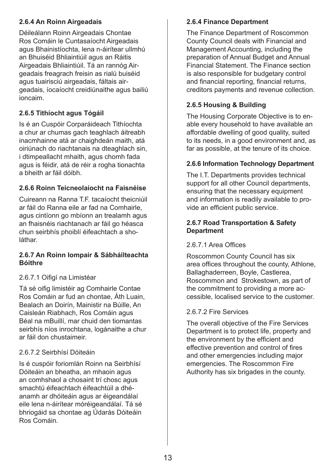#### **2.6.4 An Roinn Airgeadais**

Déileálann Roinn Airgeadais Chontae Ros Comáin le Cuntasaíocht Airgeadais agus Bhainistíochta, lena n-áirítear ullmhú an Bhuiséid Bhliaintiúil agus an Ráitis Airgeadais Bhliaintiúil. Tá an rannóg Airgeadais freagrach freisin as rialú buiséid agus tuairisciú airgeadais, fáltais airgeadais, íocaíocht creidiúnaithe agus bailiú ioncaim.

#### **2.6.5 Tithíocht agus Tógáil**

Is é an Cuspóir Corparáideach Tithíochta a chur ar chumas gach teaghlach áitreabh inacmhainne atá ar chaighdeán maith, atá oiriúnach do riachtanais na dteaghlach sin, i dtimpeallacht mhaith, agus chomh fada agus is féidir, atá de réir a rogha tionachta a bheith ar fáil dóibh.

#### **2.6.6 Roinn Teicneolaíocht na Faisnéise**

Cuireann na Ranna T.F. tacaíocht theicniúil ar fáil do Ranna eile ar fad na Comhairle, agus cintíonn go mbíonn an trealamh agus an fhaisnéis riachtanach ar fáil go héasca chun seirbhís phoiblí éifeachtach a sholáthar.

#### **2.6.7 An Roinn Iompair & Sábháilteachta Bóithre**

#### 2.6.7.1 Oifigí na Limistéar

Tá sé oifig limistéir ag Comhairle Contae Ros Comáin ar fud an chontae, Áth Luain, Bealach an Doirín, Mainistir na Búille, An Caisleán Riabhach, Ros Comáin agus Béal na mBuillí, mar chuid den tiomantas seirbhís níos inrochtana, logánaithe a chur ar fáil don chustaimeir.

#### 2.6.7.2 Seirbhísí Dóiteáin

Is é cuspóir foriomlán Roinn na Seirbhísí Dóiteáin an bheatha, an mhaoin agus an comhshaol a chosaint trí chosc agus smachtú éifeachtach éifeachtúil a dhéanamh ar dhóiteáin agus ar éigeandálaí eile lena n-áirítear móréigeandálaí. Tá sé bhriogáid sa chontae ag Údarás Dóiteáin Ros Comáin.

#### **2.6.4 Finance Department**

The Finance Department of Roscommon County Council deals with Financial and Management Accounting, including the preparation of Annual Budget and Annual Financial Statement. The Finance section is also responsible for budgetary control and financial reporting, financial returns, creditors payments and revenue collection.

#### **2.6.5 Housing & Building**

The Housing Corporate Objective is to enable every household to have available an affordable dwelling of good quality, suited to its needs, in a good environment and, as far as possible, at the tenure of its choice.

#### **2.6.6 Information Technology Department**

The I.T. Departments provides technical support for all other Council departments, ensuring that the necessary equipment and information is readily available to provide an efficient public service.

#### **2.6.7 Road Transportation & Safety Department**

#### 2.6.7.1 Area Offices

Roscommon County Council has six area offices throughout the county, Athlone, Ballaghaderreen, Boyle, Castlerea, Roscommon and Strokestown, as part of the commitment to providing a more accessible, localised service to the customer.

#### 2.6.7.2 Fire Services

The overall objective of the Fire Services Department is to protect life, property and the environment by the efficient and effective prevention and control of fires and other emergencies including major emergencies. The Roscommon Fire Authority has six brigades in the county.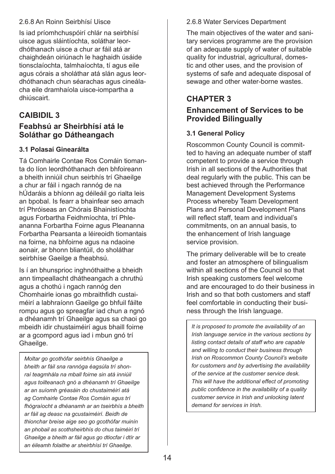#### 2.6.8 An Roinn Seirbhísí Uisce

Is iad príomhchuspóirí chlár na seirbhísí uisce agus sláintíochta, soláthar leordhóthanach uisce a chur ar fáil atá ar chaighdeán oiriúnach le haghaidh úsáide tionsclaíochta, talmhaíochta, tí agus eile agus córais a sholáthar atá slán agus leordhóthanach chun séarachas agus cineálacha eile dramhaíola uisce-iompartha a dhiúscairt.

# **Caibidil 3**

# **Feabhsú ar Sheirbhísí atá le Soláthar go Dátheangach**

#### **3.1 Polasaí Ginearálta**

Tá Comhairle Contae Ros Comáin tiomanta do líon leordhóthanach den bhfoireann a bheith inniúil chun seirbhís trí Ghaeilge a chur ar fáil i ngach rannóg de na hÚdaráis a bhíonn ag déileáil go rialta leis an bpobal. Is fearr a bhainfear seo amach trí Phróiseas an Chórais Bhainistíochta agus Forbartha Feidhmíochta, trí Phleananna Forbartha Foirne agus Pleananna Forbartha Pearsanta a léireoidh tiomantais na foirne, na bhfoirne agus na ndaoine aonair, ar bhonn bliantúil, do sholáthar seirbhíse Gaeilge a fheabhsú.

Is í an bhunsprioc inghnóthaithe a bheidh ann timpeallacht dhátheangach a chruthú agus a chothú i ngach rannóg den Chomhairle ionas go mbraithfidh custaiméirí a labhraíonn Gaeilge go bhfuil fáilte rompu agus go spreagfar iad chun a ngnó a dhéanamh trí Ghaeilge agus sa chaoi go mbeidh idir chustaiméirí agus bhaill foirne ar a gcompord agus iad i mbun gnó trí Ghaeilge.

*Moltar go gcothófar seirbhís Ghaeilge a bheith ar fáil sna rannóga éagsúla trí shonraí teagmhála na mball foirne sin atá inniúil agus toilteanach gnó a dhéanamh trí Ghaeilge ar an suíomh gréasáin do chustaiméirí atá ag Comhairle Contae Ros Comáin agus trí fhógraíocht a dhéanamh ar an tseirbhís a bheith ar fáil ag deasc na gcustaiméirí. Beidh de thionchar breise aige seo go gcothófar muinín an phobail as scothsheirbhís do chus taiméirí trí Ghaeilge a bheith ar fáil agus go dtiocfar i dtír ar an éileamh folaithe ar sheirbhísí trí Ghaeilge.*

#### 2.6.8 Water Services Department

The main objectives of the water and sanitary services programme are the provision of an adequate supply of water of suitable quality for industrial, agricultural, domestic and other uses, and the provision of systems of safe and adequate disposal of sewage and other water-borne wastes.

# **Chapter 3**

#### **Enhancement of Services to be Provided Bilingually**

#### **3.1 General Policy**

Roscommon County Council is committed to having an adequate number of staff competent to provide a service through Irish in all sections of the Authorities that deal regularly with the public. This can be best achieved through the Performance Management Development Systems Process whereby Team Development Plans and Personal Development Plans will reflect staff, team and individual's commitments, on an annual basis, to the enhancement of Irish language service provision.

The primary deliverable will be to create and foster an atmosphere of bilingualism within all sections of the Council so that Irish speaking customers feel welcome and are encouraged to do their business in Irish and so that both customers and staff feel comfortable in conducting their business through the Irish language.

*It is proposed to promote the availability of an Irish language service in the various sections by listing contact details of staff who are capable and willing to conduct their business through Irish on Roscommon County Council's website for customers and by advertising the availability of the service at the customer service desk. This will have the additional effect of promoting public confidence in the availability of a quality customer service in Irish and unlocking latent demand for services in Irish.*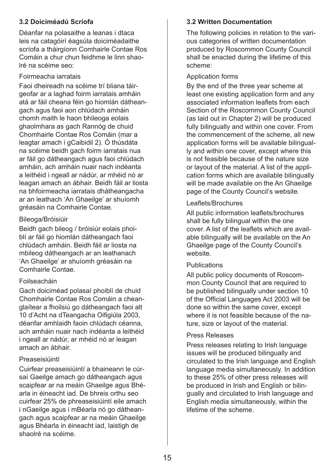#### **3.2 Doiciméadú Scríofa**

Déanfar na polasaithe a leanas i dtaca leis na catagóirí éagsúla doiciméadaithe scríofa a tháirgíonn Comhairle Contae Ros Comáin a chur chun feidhme le linn shaolré na scéime seo:

#### Foirmeacha iarratais

Faoi dheireadh na scéime trí bliana táirgeofar ar a laghad foirm iarratais amháin atá ar fáil cheana féin go hiomlán dátheangach agus faoi aon chlúdach amháin chomh maith le haon bhileoga eolais ghaolmhara as gach Rannóg de chuid Chomhairle Contae Ros Comáin (mar a leagtar amach i gCaibidil 2). Ó thúsdáta na scéime beidh gach foirm iarratais nua ar fáil go dátheangach agus faoi chlúdach amháin, ach amháin nuair nach indéanta a leithéid i ngeall ar nádúr, ar mhéid nó ar leagan amach an ábhair. Beidh fáil ar liosta na bhfoirmeacha iarratais dhátheangacha ar an leathach 'An Ghaeilge' ar shuíomh gréasáin na Comhairle Contae.

#### Bileoga/Bróisiúir

Beidh gach bileog / bróisiúr eolais phoiblí ar fáil go hiomlán dátheangach faoi chlúdach amháin. Beidh fáil ar liosta na mbileog dátheangach ar an leathanach 'An Ghaeilge' ar shuíomh gréasáin na Comhairle Contae.

#### Foilseacháin

Gach doiciméad polasaí phoiblí de chuid Chomhairle Contae Ros Comáin a cheanglaítear a fhoilsiú go dátheangach faoi alt 10 d'Acht na dTeangacha Oifigiúla 2003, déanfar amhlaidh faoin chlúdach céanna, ach amháin nuair nach indéanta a leithéid i ngeall ar nádúr, ar mhéid nó ar leagan amach an ábhair.

#### Preaseisiúintí

Cuirfear preaseisiúintí a bhaineann le cúrsaí Gaeilge amach go dátheangach agus scaipfear ar na meáin Ghaeilge agus Bhéarla in éineacht iad. De bhreis orthu seo cuirfear 25% de phreaseisiúintí eile amach i nGaeilge agus i mBéarla nó go dátheangach agus scaipfear ar na meáin Ghaeilge agus Bhéarla in éineacht iad, laistigh de shaolré na scéime.

#### **3.2 Written Documentation**

The following policies in relation to the various categories of written documentation produced by Roscommon County Council shall be enacted during the lifetime of this scheme:

#### Application forms

By the end of the three year scheme at least one existing application form and any associated information leaflets from each Section of the Roscommon County Council (as laid out in Chapter 2) will be produced fully bilingually and within one cover. From the commencement of the scheme, all new application forms will be available bilingually and within one cover, except where this is not feasible because of the nature size or layout of the material. A list of the application forms which are available bilingually will be made available on the An Ghaeilge page of the County Council's website.

#### Leaflets/Brochures

All public information leaflets/brochures shall be fully bilingual within the one cover. A list of the leaflets which are available bilingually will be available on the An Ghaeilge page of the County Council's website.

#### **Publications**

All public policy documents of Roscommon County Council that are required to be published bilingually under section 10 of the Official Languages Act 2003 will be done so within the same cover, except where it is not feasible because of the nature, size or layout of the material.

#### Press Releases

Press releases relating to Irish language issues will be produced bilingually and circulated to the Irish language and English language media simultaneously. In addition to these 25% of other press releases will be produced in Irish and English or bilingually and circulated to Irish language and English media simultaneously, within the lifetime of the scheme.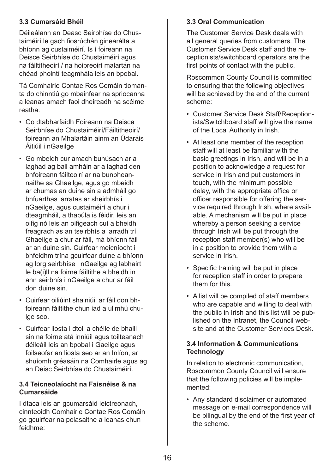#### **3.3 Cumarsáid Bhéil**

Déileálann an Deasc Seirbhíse do Chustaiméirí le gach fiosrúchán ginearálta a bhíonn ag custaiméirí. Is í foireann na Deisce Seirbhíse do Chustaiméirí agus na fáiltitheoirí / na hoibreoirí malartán na chéad phointí teagmhála leis an bpobal.

Tá Comhairle Contae Ros Comáin tiomanta do chinntiú go mbainfear na spriocanna a leanas amach faoi dheireadh na scéime reatha:

- Go dtabharfaidh Foireann na Deisce Seirbhíse do Chustaiméirí/Fáiltitheoirí/ foireann an Mhalartáin ainm an Údaráis Áitiúil i nGaeilge
- Go mbeidh cur amach bunúsach ar a laghad ag ball amháin ar a laghad den bhfoireann fáilteoirí ar na bunbheannaithe sa Ghaeilge, agus go mbeidh ar chumas an duine sin a admháil go bhfuarthas iarratas ar sheirbhís i nGaeilge, agus custaiméirí a chur i dteagmháil, a thapúla is féidir, leis an oifig nó leis an oifigeach cuí a bheidh freagrach as an tseirbhís a iarradh trí Ghaeilge a chur ar fáil, má bhíonn fáil ar an duine sin. Cuirfear meicníocht i bhfeidhm trína gcuirfear duine a bhíonn ag lorg seirbhíse i nGaeilge ag labhairt le ba(i)ll na foirne fáiltithe a bheidh in ann seirbhís i nGaeilge a chur ar fáil don duine sin.
- Cuirfear oiliúint shainiúil ar fáil don bhfoireann fáiltithe chun iad a ullmhú chuige seo.
- Cuirfear liosta i dtoll a chéile de bhaill sin na foirne atá inniúil agus toilteanach déileáil leis an bpobal i Gaeilge agus foilseofar an liosta seo ar an Inlíon, ar shuíomh gréasáin na Comhairle agus ag an Deisc Seirbhíse do Chustaiméirí.

#### **3.4 Teicneolaíocht na Faisnéise & na Cumarsáide**

I dtaca leis an gcumarsáid leictreonach, cinnteoidh Comhairle Contae Ros Comáin go gcuirfear na polasaithe a leanas chun feidhme:

#### **3.3 Oral Communication**

The Customer Service Desk deals with all general queries from customers. The Customer Service Desk staff and the receptionists/switchboard operators are the first points of contact with the public.

Roscommon County Council is committed to ensuring that the following objectives will be achieved by the end of the current scheme:

- Customer Service Desk Staff/Receptionists/Switchboard staff will give the name of the Local Authority in Irish.
- At least one member of the reception staff will at least be familiar with the basic greetings in Irish, and will be in a position to acknowledge a request for service in Irish and put customers in touch, with the minimum possible delay, with the appropriate office or officer responsible for offering the service required through Irish, where available. A mechanism will be put in place whereby a person seeking a service through Irish will be put through the reception staff member(s) who will be in a position to provide them with a service in Irish.
- Specific training will be put in place for reception staff in order to prepare them for this.
- A list will be compiled of staff members who are capable and willing to deal with the public in Irish and this list will be published on the Intranet, the Council website and at the Customer Services Desk.

#### **3.4 Information & Communications Technology**

In relation to electronic communication, Roscommon County Council will ensure that the following policies will be implemented:

• Any standard disclaimer or automated message on e-mail correspondence will be bilingual by the end of the first year of the scheme.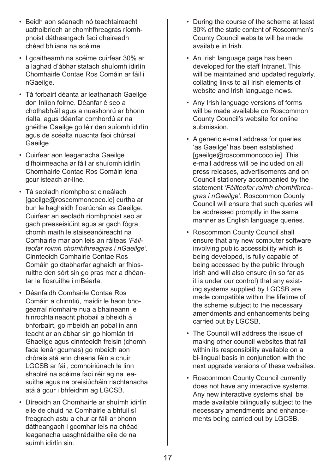- Beidh aon séanadh nó teachtaireacht uathoibríoch ar chomhfhreagras ríomhphoist dátheangach faoi dheireadh chéad bhliana na scéime.
- I gcaitheamh na scéime cuirfear 30% ar a laghad d'ábhar statach shuíomh idirlín Chomhairle Contae Ros Comáin ar fáil i nGaeilge.
- Tá forbairt déanta ar leathanach Gaeilge don Inlíon foirne. Déanfar é seo a chothabháil agus a nuashonrú ar bhonn rialta, agus déanfar comhordú ar na gnéithe Gaeilge go léir den suíomh idirlín agus de scéalta nuachta faoi chúrsaí **Gaeilge**
- Cuirfear aon leaganacha Gaeilge d'fhoirmeacha ar fáil ar shuíomh idirlín Chomhairle Contae Ros Comáin lena gcur isteach ar-líne.
- Tá seoladh ríomhphoist cineálach [gaeilge@roscommoncoco.ie] curtha ar bun le haghaidh fiosrúchán as Gaeilge. Cuirfear an seoladh ríomhphoist seo ar gach preaseisiúint agus ar gach fógra chomh maith le staiseanóireacht na Comhairle mar aon leis an ráiteas *'Fáilteofar roimh chomhfhreagras i nGaeilge'.* Cinnteoidh Comhairle Contae Ros Comáin go dtabharfar aghaidh ar fhiosruithe den sórt sin go pras mar a dhéantar le fiosruithe i mBéarla.
- Déanfaidh Comhairle Contae Ros Comáin a chinntiú, maidir le haon bhogearraí ríomhaire nua a bhaineann le hinrochtaineacht phobail a bheidh á bhforbairt, go mbeidh an pobal in ann teacht ar an ábhar sin go hiomlán trí Ghaeilge agus cinnteoidh freisin (chomh fada lenár gcumas) go mbeidh aon chórais atá ann cheana féin a chuir LGCSB ar fáil, comhoiriúnach le linn shaolré na scéime faoi réir ag na leasuithe agus na breisiúcháin riachtanacha atá á gcur i bhfeidhm ag LGCSB.
- Díreoidh an Chomhairle ar shuímh idirlín eile de chuid na Comhairle a bhfuil sí freagrach astu a chur ar fáil ar bhonn dátheangach i gcomhar leis na chéad leaganacha uasghrádaithe eile de na suímh idirlín sin.
- During the course of the scheme at least 30% of the static content of Roscommon's County Council website will be made available in Irish.
- An Irish language page has been developed for the staff Intranet. This will be maintained and updated regularly, collating links to all Irish elements of website and Irish language news.
- Any Irish language versions of forms will be made available on Roscommon County Council's website for online submission.
- A generic e-mail address for queries 'as Gaeilge' has been established [gaeilge@roscommoncoco.ie]. This e-mail address will be included on all press releases, advertisements and on Council stationery accompanied by the statement *'Fáilteofar roimh chomhfhreagras i nGaeilge'.* Roscommon County Council will ensure that such queries will be addressed promptly in the same manner as English language queries.
- Roscommon County Council shall ensure that any new computer software involving public accessibility which is being developed, is fully capable of being accessed by the public through Irish and will also ensure (in so far as it is under our control) that any existing systems supplied by LGCSB are made compatible within the lifetime of the scheme subject to the necessary amendments and enhancements being carried out by LGCSB.
- The Council will address the issue of making other council websites that fall within its responsibility available on a bi-lingual basis in conjunction with the next upgrade versions of these websites.
- Roscommon County Council currently does not have any interactive systems. Any new interactive systems shall be made available bilingually subject to the necessary amendments and enhancements being carried out by LGCSB.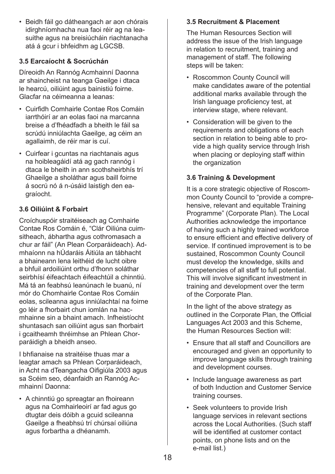• Beidh fáil go dátheangach ar aon chórais idirghníomhacha nua faoi réir ag na leasuithe agus na breisiúcháin riachtanacha atá á gcur i bhfeidhm ag LGCSB.

#### **3.5 Earcaíocht & Socrúchán**

Díreoidh An Rannóg Acmhainní Daonna ar shaincheist na teanga Gaeilge i dtaca le hearcú, oiliúint agus bainistiú foirne. Glacfar na céimeanna a leanas:

- Cuirfidh Comhairle Contae Ros Comáin iarrthóirí ar an eolas faoi na marcanna breise a d'fhéadfadh a bheith le fáil sa scrúdú inniúlachta Gaeilge, ag céim an agallaimh, de réir mar is cuí.
- Cuirfear i gcuntas na riachtanais agus na hoibleagáidí atá ag gach rannóg i dtaca le bheith in ann scothsheirbhís trí Ghaeilge a sholáthar agus baill foirne á socrú nó á n-úsáid laistigh den eagraíocht.

#### **3.6 Oiliúint & Forbairt**

Croíchuspóir straitéiseach ag Comhairle Contae Ros Comáin é, "Clár Oiliúna cuimsitheach, ábhartha agus cothromasach a chur ar fáil" (An Plean Corparáideach). Admhaíonn na hÚdaráis Áitiúla an tábhacht a bhaineann lena leithéid de lucht oibre a bhfuil ardoiliúint orthu d'fhonn soláthar seirbhísí éifeachtach éifeachtúil a chinntiú. Má tá an feabhsú leanúnach le buanú, ní mór do Chomhairle Contae Ros Comáin eolas, scileanna agus inniúlachtaí na foirne go léir a fhorbairt chun iomlán na hacmhainne sin a bhaint amach. Infheistíocht shuntasach san oiliúint agus san fhorbairt i gcaitheamh thréimhse an Phlean Chorparáidigh a bheidh anseo.

I bhfianaise na straitéise thuas mar a leagtar amach sa Phlean Corparáideach, in Acht na dTeangacha Oifigiúla 2003 agus sa Scéim seo, déanfaidh an Rannóg Acmhainní Daonna:

• A chinntiú go spreagtar an fhoireann agus na Comhairleoirí ar fad agus go dtugtar deis dóibh a gcuid scileanna Gaeilge a fheabhsú trí chúrsaí oiliúna agus forbartha a dhéanamh.

#### **3.5 Recruitment & Placement**

The Human Resources Section will address the issue of the Irish language in relation to recruitment, training and management of staff. The following steps will be taken:

- Roscommon County Council will make candidates aware of the potential additional marks available through the Irish language proficiency test, at interview stage, where relevant.
- Consideration will be given to the requirements and obligations of each section in relation to being able to provide a high quality service through Irish when placing or deploying staff within the organization

# **3.6 Training & Development**

It is a core strategic objective of Roscommon County Council to "provide a comprehensive, relevant and equitable Training Programme" (Corporate Plan). The Local Authorities acknowledge the importance of having such a highly trained workforce to ensure efficient and effective delivery of service. If continued improvement is to be sustained, Roscommon County Council must develop the knowledge, skills and competencies of all staff to full potential. This will involve significant investment in training and development over the term of the Corporate Plan.

In the light of the above strategy as outlined in the Corporate Plan, the Official Languages Act 2003 and this Scheme, the Human Resources Section will:

- Ensure that all staff and Councillors are encouraged and given an opportunity to improve language skills through training and development courses.
- Include language awareness as part of both Induction and Customer Service training courses.
- Seek volunteers to provide Irish language services in relevant sections across the Local Authorities. (Such staff will be identified at customer contact points, on phone lists and on the e-mail list.)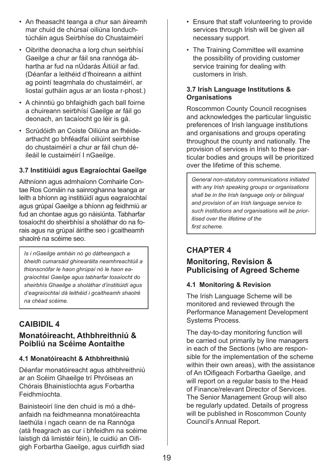- An fheasacht teanga a chur san áireamh mar chuid de chúrsaí oiliúna Ionduchtúcháin agus Seirbhíse do Chustaiméirí
- Oibrithe deonacha a lorg chun seirbhísí Gaeilge a chur ar fáil sna rannóga ábhartha ar fud na nÚdarás Áitiúil ar fad. (Déanfar a leithéid d'fhoireann a aithint ag pointí teagmhala do chustaiméirí, ar liostaí gutháin agus ar an liosta r-phost.)
- A chinntiú go bhfaighidh gach ball foirne a chuireann seirbhísí Gaeilge ar fáil go deonach, an tacaíocht go léir is gá.
- Scrúdóidh an Coiste Oiliúna an fhéidearthacht go bhféadfaí oiliúint seirbhíse do chustaiméirí a chur ar fáil chun déileáil le custaiméirí I nGaeilge.

#### **3.7 Institiúidí agus Eagraíochtaí Gaeilge**

Aithníonn agus admhaíonn Comhairle Contae Ros Comáin na sainroghanna teanga ar leith a bhíonn ag institiúidí agus eagraíochtaí agus grúpaí Gaeilge a bhíonn ag feidhmiú ar fud an chontae agus go náisiúnta. Tabharfar tosaíocht do sheirbhísí a sholáthar do na forais agus na grúpaí áirithe seo i gcaitheamh shaolré na scéime seo.

*Is i nGaeilge amháin nó go dátheangach a bheidh cumarsáid ghinearálta neamhreachtúil a thionscnófar le haon ghrúpaí nó le haon eagraíochtaí Gaeilge agus tabharfar tosaíocht do sheirbhís Ghaeilge a sholáthar d'institiúidí agus d'eagraíochtaí dá leithéid i gcaitheamh shaolré na chéad scéime.*

# **Caibidil 4 Monatóireacht, Athbhreithniú & Poibliú na Scéime Aontaithe**

#### **4.1 Monatóireacht & Athbhreithniú**

Déanfar monatóireacht agus athbhreithniú ar an Scéim Ghaeilge trí Phróiseas an Chórais Bhainistíochta agus Forbartha Feidhmíochta.

Bainisteoirí líne den chuid is mó a dhéanfaidh na feidhmeanna monatóireachta laethúla i ngach ceann de na Rannóga (atá freagrach as cur i bhfeidhm na scéime laistigh dá limistéir féin), le cuidiú an Oifigigh Forbartha Gaeilge, agus cuirfidh siad

- Ensure that staff volunteering to provide services through Irish will be given all necessary support.
- The Training Committee will examine the possibility of providing customer service training for dealing with customers in Irish.

#### **3.7 Irish Language Institutions & Organisations**

Roscommon County Council recognises and acknowledges the particular linguistic preferences of Irish language institutions and organisations and groups operating throughout the county and nationally. The provision of services in Irish to these particular bodies and groups will be prioritized over the lifetime of this scheme.

*General non-statutory communications initiated with any Irish speaking groups or organisations shall be in the Irish language only or bilingual and provision of an Irish language service to such institutions and organisations will be prioritised over the lifetime of the first scheme.*

# **Chapter 4 Monitoring, Revision &**

# **Publicising of Agreed Scheme**

# **4.1 Monitoring & Revision**

The Irish Language Scheme will be monitored and reviewed through the Performance Management Development Systems Process.

The day-to-day monitoring function will be carried out primarily by line managers in each of the Sections (who are responsible for the implementation of the scheme within their own areas), with the assistance of An tOifigeach Forbartha Gaeilge, and will report on a regular basis to the Head of Finance/relevant Director of Services. The Senior Management Group will also be regularly updated. Details of progress will be published in Roscommon County Council's Annual Report.